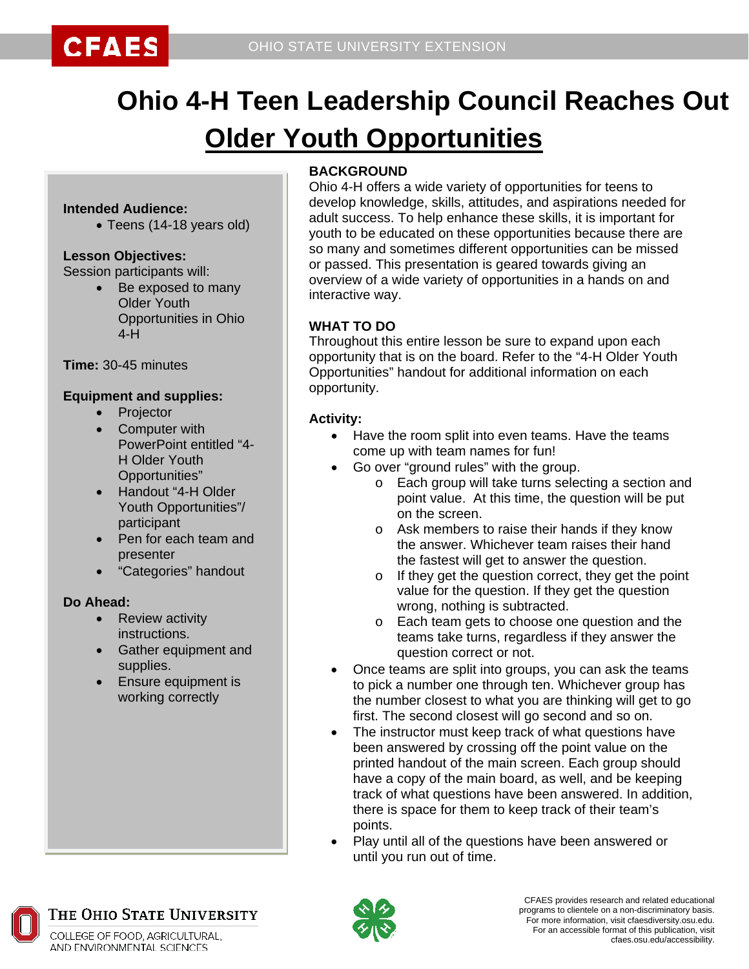

# **Ohio 4-H Teen Leadership Council Reaches Out Older Youth Opportunities**

#### **Intended Audience:**

• Teens (14-18 years old)

#### **Lesson Objectives:**

Session participants will:

• Be exposed to many Older Youth Opportunities in Ohio  $4-H$ 

**Time:** 30-45 minutes

#### **Equipment and supplies:**

- **Projector**
- Computer with PowerPoint entitled "4- H Older Youth Opportunities"
- Handout "4-H Older Youth Opportunities"/ participant
- Pen for each team and presenter
- "Categories" handout

#### **Do Ahead:**

- Review activity instructions.
- Gather equipment and supplies.
- Ensure equipment is working correctly

#### **BACKGROUND**

Ohio 4-H offers a wide variety of opportunities for teens to develop knowledge, skills, attitudes, and aspirations needed for adult success. To help enhance these skills, it is important for youth to be educated on these opportunities because there are so many and sometimes different opportunities can be missed or passed. This presentation is geared towards giving an overview of a wide variety of opportunities in a hands on and interactive way.

#### **WHAT TO DO**

Throughout this entire lesson be sure to expand upon each opportunity that is on the board. Refer to the "4-H Older Youth Opportunities" handout for additional information on each opportunity.

#### **Activity:**

- Have the room split into even teams. Have the teams come up with team names for fun!
- Go over "ground rules" with the group.
	- o Each group will take turns selecting a section and point value. At this time, the question will be put on the screen.
	- o Ask members to raise their hands if they know the answer. Whichever team raises their hand the fastest will get to answer the question.
	- o If they get the question correct, they get the point value for the question. If they get the question wrong, nothing is subtracted.
	- o Each team gets to choose one question and the teams take turns, regardless if they answer the question correct or not.
- Once teams are split into groups, you can ask the teams to pick a number one through ten. Whichever group has the number closest to what you are thinking will get to go first. The second closest will go second and so on.
- The instructor must keep track of what questions have been answered by crossing off the point value on the printed handout of the main screen. Each group should have a copy of the main board, as well, and be keeping track of what questions have been answered. In addition, there is space for them to keep track of their team's points.
- Play until all of the questions have been answered or until you run out of time.



COLLEGE OF FOOD, AGRICULTURAL, AND ENVIRONMENTAL SCIENCES

THE OHIO STATE UNIVERSITY